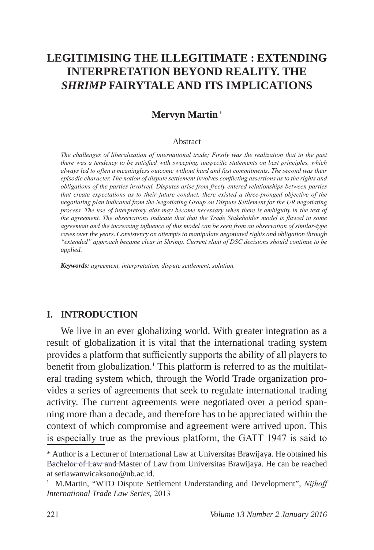# **LEGITIMISING THE ILLEGITIMATE : EXTENDING INTERPRETATION BEYOND REALITY. THE**  *SHRIMP* **FAIRYTALE AND ITS IMPLICATIONS**

# **Mervyn Martin** \*

#### Abstract

*The challenges of liberalization of international trade; Firstly was the realization that in the past there was a tendency to be satisfied with sweeping, unspecific statements on best principles, which always led to often a meaningless outcome without hard and fast commitments. The second was their episodic character. The notion of dispute settlement involves conflicting assertions as to the rights and obligations of the parties involved. Disputes arise from freely entered relationships between parties that create expectations as to their future conduct. there existed a three-pronged objective of the negotiating plan indicated from the Negotiating Group on Dispute Settlement for the UR negotiating process. The use of interpretory aids may become necessary when there is ambiguity in the text of the agreement. The observations indicate that that the Trade Stakeholder model is flawed in some agreement and the increasing influence of this model can be seen from an observation of similar-type cases over the years. Consistency on attempts to manipulate negotiated rights and obligation through "extended" approach became clear in Shrimp. Current slant of DSC decisions should continue to be applied.* 

*Keywords: agreement, interpretation, dispute settlement, solution.*

### **I. INTRODUCTION**

We live in an ever globalizing world. With greater integration as a result of globalization it is vital that the international trading system provides a platform that sufficiently supports the ability of all players to benefit from globalization.<sup>1</sup> This platform is referred to as the multilateral trading system which, through the World Trade organization provides a series of agreements that seek to regulate international trading activity. The current agreements were negotiated over a period spanning more than a decade, and therefore has to be appreciated within the context of which compromise and agreement were arrived upon. This is especially true as the previous platform, the GATT 1947 is said to

<sup>\*</sup> Author is a Lecturer of International Law at Universitas Brawijaya. He obtained his Bachelor of Law and Master of Law from Universitas Brawijaya. He can be reached at setiawanwicaksono@ub.ac.id.

<sup>&</sup>lt;sup>1</sup> M.Martin, "WTO Dispute Settlement Understanding and Development", *Nijhoff International Trade Law Series,* 2013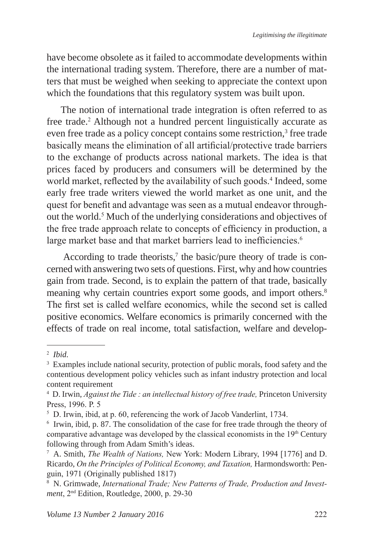have become obsolete as it failed to accommodate developments within the international trading system. Therefore, there are a number of matters that must be weighed when seeking to appreciate the context upon which the foundations that this regulatory system was built upon.

The notion of international trade integration is often referred to as free trade.<sup>2</sup> Although not a hundred percent linguistically accurate as even free trade as a policy concept contains some restriction,<sup>3</sup> free trade basically means the elimination of all artificial/protective trade barriers to the exchange of products across national markets. The idea is that prices faced by producers and consumers will be determined by the world market, reflected by the availability of such goods.<sup>4</sup> Indeed, some early free trade writers viewed the world market as one unit, and the quest for benefit and advantage was seen as a mutual endeavor throughout the world.<sup>5</sup> Much of the underlying considerations and objectives of the free trade approach relate to concepts of efficiency in production, a large market base and that market barriers lead to inefficiencies.<sup>6</sup>

According to trade theorists,<sup>7</sup> the basic/pure theory of trade is concerned with answering two sets of questions. First, why and how countries gain from trade. Second, is to explain the pattern of that trade, basically meaning why certain countries export some goods, and import others.<sup>8</sup> The first set is called welfare economics, while the second set is called positive economics. Welfare economics is primarily concerned with the effects of trade on real income, total satisfaction, welfare and develop-

<sup>2</sup> *Ibid.*

<sup>&</sup>lt;sup>3</sup> Examples include national security, protection of public morals, food safety and the contentious development policy vehicles such as infant industry protection and local content requirement

<sup>4</sup> D. Irwin, *Against the Tide : an intellectual history of free trade,* Princeton University Press, 1996. P. 5

<sup>5</sup> D. Irwin, ibid, at p. 60, referencing the work of Jacob Vanderlint, 1734.

<sup>&</sup>lt;sup>6</sup> Irwin, ibid, p. 87. The consolidation of the case for free trade through the theory of comparative advantage was developed by the classical economists in the  $19<sup>th</sup>$  Century following through from Adam Smith's ideas.

<sup>7</sup> A. Smith, *The Wealth of Nations,* New York: Modern Library, 1994 [1776] and D. Ricardo, *On the Principles of Political Economy, and Taxation,* Harmondsworth: Penguin, 1971 (Originally published 1817)

<sup>&</sup>lt;sup>8</sup> N. Grimwade, *International Trade; New Patterns of Trade, Production and Investment*, 2nd Edition, Routledge, 2000, p. 29-30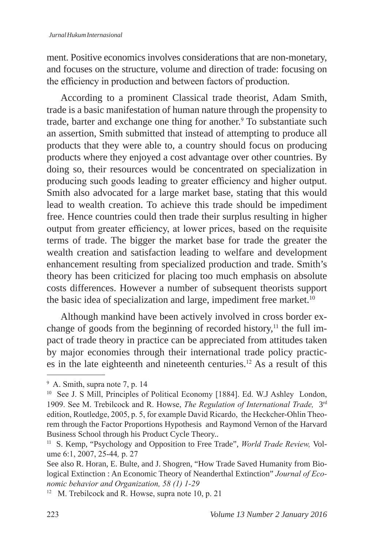ment. Positive economics involves considerations that are non-monetary, and focuses on the structure, volume and direction of trade: focusing on the efficiency in production and between factors of production.

According to a prominent Classical trade theorist, Adam Smith, trade is a basic manifestation of human nature through the propensity to trade, barter and exchange one thing for another.<sup>9</sup> To substantiate such an assertion, Smith submitted that instead of attempting to produce all products that they were able to, a country should focus on producing products where they enjoyed a cost advantage over other countries. By doing so, their resources would be concentrated on specialization in producing such goods leading to greater efficiency and higher output. Smith also advocated for a large market base, stating that this would lead to wealth creation. To achieve this trade should be impediment free. Hence countries could then trade their surplus resulting in higher output from greater efficiency, at lower prices, based on the requisite terms of trade. The bigger the market base for trade the greater the wealth creation and satisfaction leading to welfare and development enhancement resulting from specialized production and trade. Smith's theory has been criticized for placing too much emphasis on absolute costs differences. However a number of subsequent theorists support the basic idea of specialization and large, impediment free market.<sup>10</sup>

Although mankind have been actively involved in cross border exchange of goods from the beginning of recorded history, $\frac{11}{11}$  the full impact of trade theory in practice can be appreciated from attitudes taken by major economies through their international trade policy practices in the late eighteenth and nineteenth centuries.<sup>12</sup> As a result of this

<sup>9</sup> A. Smith, supra note 7, p. 14

<sup>&</sup>lt;sup>10</sup> See J. S Mill, Principles of Political Economy [1884]. Ed. W.J Ashley London, 1909. See M. Trebilcock and R. Howse, *The Regulation of International Trade,* 3rd edition, Routledge, 2005, p. 5, for example David Ricardo, the Heckcher-Ohlin Theorem through the Factor Proportions Hypothesis and Raymond Vernon of the Harvard Business School through his Product Cycle Theory..

<sup>&</sup>lt;sup>11</sup> S. Kemp, "Psychology and Opposition to Free Trade", *World Trade Review*, Volume 6:1, 2007, 25-44*,* p. 27

See also R. Horan, E. Bulte, and J. Shogren, "How Trade Saved Humanity from Biological Extinction : An Economic Theory of Neanderthal Extinction" *Journal of Economic behavior and Organization, 58 (1) 1-29*

<sup>&</sup>lt;sup>12</sup> M. Trebilcock and R. Howse, supra note 10, p. 21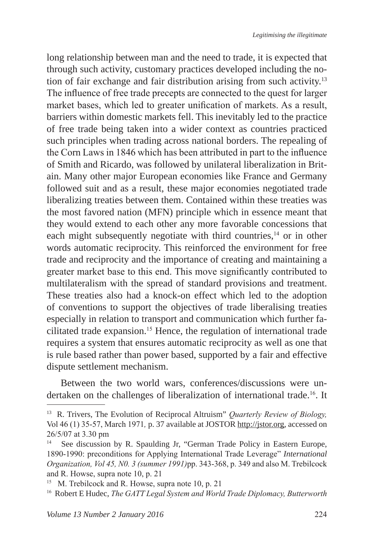long relationship between man and the need to trade, it is expected that through such activity, customary practices developed including the notion of fair exchange and fair distribution arising from such activity.13 The influence of free trade precepts are connected to the quest for larger market bases, which led to greater unification of markets. As a result, barriers within domestic markets fell. This inevitably led to the practice of free trade being taken into a wider context as countries practiced such principles when trading across national borders. The repealing of the Corn Laws in 1846 which has been attributed in part to the influence of Smith and Ricardo, was followed by unilateral liberalization in Britain. Many other major European economies like France and Germany followed suit and as a result, these major economies negotiated trade liberalizing treaties between them. Contained within these treaties was the most favored nation (MFN) principle which in essence meant that they would extend to each other any more favorable concessions that each might subsequently negotiate with third countries,<sup>14</sup> or in other words automatic reciprocity. This reinforced the environment for free trade and reciprocity and the importance of creating and maintaining a greater market base to this end. This move significantly contributed to multilateralism with the spread of standard provisions and treatment. These treaties also had a knock-on effect which led to the adoption of conventions to support the objectives of trade liberalising treaties especially in relation to transport and communication which further facilitated trade expansion.<sup>15</sup> Hence, the regulation of international trade requires a system that ensures automatic reciprocity as well as one that is rule based rather than power based, supported by a fair and effective dispute settlement mechanism.

Between the two world wars, conferences/discussions were undertaken on the challenges of liberalization of international trade.<sup>16</sup>. It

<sup>13</sup> R. Trivers, The Evolution of Reciprocal Altruism" *Quarterly Review of Biology,*  Vol 46 (1) 35-57, March 1971*,* p. 37 available at JOSTOR http://jstor.org, accessed on  $26/5/07$  at 3.30 pm

See discussion by R. Spaulding Jr, "German Trade Policy in Eastern Europe, 1890-1990: preconditions for Applying International Trade Leverage" *International Organization, Vol 45, N0. 3 (summer 1991)*pp. 343-368, p. 349 and also M. Trebilcock and R. Howse, supra note 10, p. 21

<sup>&</sup>lt;sup>15</sup> M. Trebilcock and R. Howse, supra note 10, p. 21

<sup>16</sup> Robert E Hudec, *The GATT Legal System and World Trade Diplomacy, Butterworth*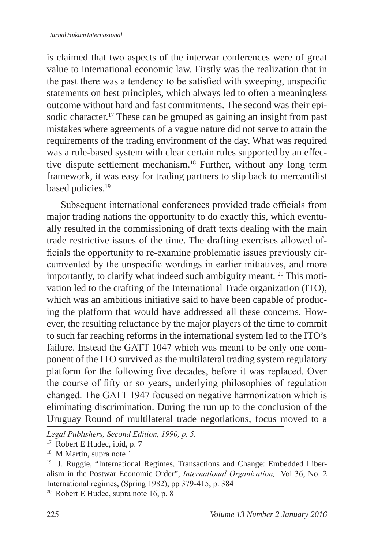is claimed that two aspects of the interwar conferences were of great value to international economic law. Firstly was the realization that in the past there was a tendency to be satisfied with sweeping, unspecific statements on best principles, which always led to often a meaningless outcome without hard and fast commitments. The second was their episodic character.<sup>17</sup> These can be grouped as gaining an insight from past mistakes where agreements of a vague nature did not serve to attain the requirements of the trading environment of the day. What was required was a rule-based system with clear certain rules supported by an effective dispute settlement mechanism.18 Further, without any long term framework, it was easy for trading partners to slip back to mercantilist based policies.<sup>19</sup>

Subsequent international conferences provided trade officials from major trading nations the opportunity to do exactly this, which eventually resulted in the commissioning of draft texts dealing with the main trade restrictive issues of the time. The drafting exercises allowed officials the opportunity to re-examine problematic issues previously circumvented by the unspecific wordings in earlier initiatives, and more importantly, to clarify what indeed such ambiguity meant. 20 This motivation led to the crafting of the International Trade organization (ITO), which was an ambitious initiative said to have been capable of producing the platform that would have addressed all these concerns. However, the resulting reluctance by the major players of the time to commit to such far reaching reforms in the international system led to the ITO's failure. Instead the GATT 1047 which was meant to be only one component of the ITO survived as the multilateral trading system regulatory platform for the following five decades, before it was replaced. Over the course of fifty or so years, underlying philosophies of regulation changed. The GATT 1947 focused on negative harmonization which is eliminating discrimination. During the run up to the conclusion of the Uruguay Round of multilateral trade negotiations, focus moved to a

*Legal Publishers, Second Edition, 1990, p. 5.*

<sup>&</sup>lt;sup>17</sup> Robert E Hudec, ibid, p. 7

<sup>&</sup>lt;sup>18</sup> M.Martin, supra note 1

<sup>&</sup>lt;sup>19</sup> J. Ruggie, "International Regimes, Transactions and Change: Embedded Liberalism in the Postwar Economic Order", *International Organization,* Vol 36, No. 2 International regimes, (Spring 1982), pp 379-415, p. 384

<sup>&</sup>lt;sup>20</sup> Robert E Hudec, supra note 16, p. 8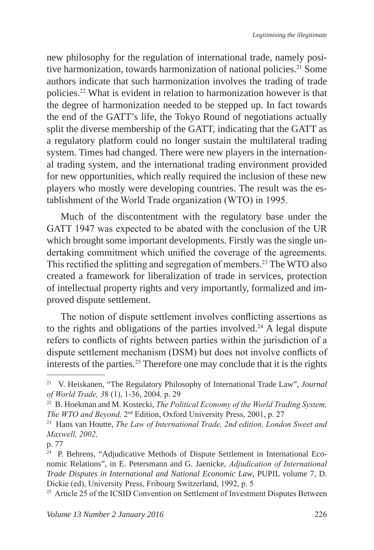new philosophy for the regulation of international trade, namely positive harmonization, towards harmonization of national policies.<sup>21</sup> Some authors indicate that such harmonization involves the trading of trade policies.<sup>22</sup> What is evident in relation to harmonization however is that the degree of harmonization needed to be stepped up. In fact towards the end of the GATT's life, the Tokyo Round of negotiations actually split the diverse membership of the GATT, indicating that the GATT as a regulatory platform could no longer sustain the multilateral trading system. Times had changed. There were new players in the international trading system, and the international trading environment provided for new opportunities, which really required the inclusion of these new players who mostly were developing countries. The result was the establishment of the World Trade organization (WTO) in 1995.

Much of the discontentment with the regulatory base under the GATT 1947 was expected to be abated with the conclusion of the UR which brought some important developments. Firstly was the single undertaking commitment which unified the coverage of the agreements. This rectified the splitting and segregation of members.23 The WTO also created a framework for liberalization of trade in services, protection of intellectual property rights and very importantly, formalized and improved dispute settlement.

The notion of dispute settlement involves conflicting assertions as to the rights and obligations of the parties involved.<sup>24</sup> A legal dispute refers to conflicts of rights between parties within the jurisdiction of a dispute settlement mechanism (DSM) but does not involve conflicts of interests of the parties.<sup>25</sup> Therefore one may conclude that it is the rights

<sup>21</sup> V. Heiskanen, "The Regulatory Philosophy of International Trade Law", *Journal of World Trade, 3*8 (1), 1-36, 2004*,* p. 29

<sup>&</sup>lt;sup>22</sup> B. Hoekman and M. Kostecki, *The Political Economy of the World Trading System, The WTO and Beyond*,  $2^{nd}$  Edition, Oxford University Press, 2001, p. 27

<sup>&</sup>lt;sup>23</sup> Hans van Houtte, *The Law of International Trade, 2nd edition, London Sweet and Maxwell, 2002,* 

p. 77

<sup>&</sup>lt;sup>24</sup> P. Behrens, "Adjudicative Methods of Dispute Settlement in International Economic Relations", in E. Petersmann and G. Jaenicke, *Adjudication of International Trade Disputes in International and National Economic Law*, PUPIL volume 7, D. Dickie (ed), University Press, Fribourg Switzerland, 1992, p. 5

<sup>&</sup>lt;sup>25</sup> Article 25 of the ICSID Convention on Settlement of Investment Disputes Between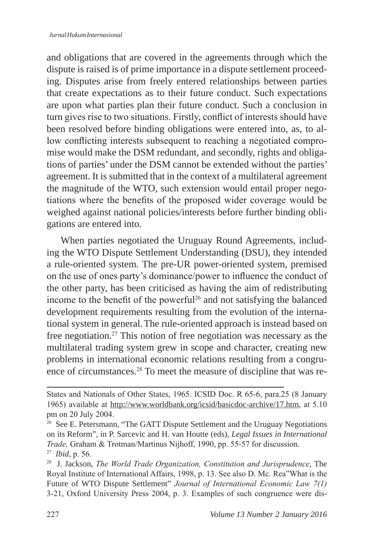and obligations that are covered in the agreements through which the dispute is raised is of prime importance in a dispute settlement proceeding. Disputes arise from freely entered relationships between parties that create expectations as to their future conduct. Such expectations are upon what parties plan their future conduct. Such a conclusion in turn gives rise to two situations. Firstly, conflict of interests should have been resolved before binding obligations were entered into, as, to allow conflicting interests subsequent to reaching a negotiated compromise would make the DSM redundant, and secondly, rights and obligations of parties' under the DSM cannot be extended without the parties' agreement. It is submitted that in the context of a multilateral agreement the magnitude of the WTO, such extension would entail proper negotiations where the benefits of the proposed wider coverage would be weighed against national policies/interests before further binding obligations are entered into.

When parties negotiated the Uruguay Round Agreements, including the WTO Dispute Settlement Understanding (DSU), they intended a rule-oriented system. The pre-UR power-oriented system, premised on the use of ones party's dominance/power to influence the conduct of the other party, has been criticised as having the aim of redistributing income to the benefit of the powerful<sup>26</sup> and not satisfying the balanced development requirements resulting from the evolution of the international system in general.The rule-oriented approach is instead based on free negotiation.<sup>27</sup> This notion of free negotiation was necessary as the multilateral trading system grew in scope and character, creating new problems in international economic relations resulting from a congruence of circumstances.28 To meet the measure of discipline that was re-

States and Nationals of Other States, 1965. ICSID Doc. R 65-6, para.25 (8 January 1965) available at http://www.worldbank.org/icsid/basicdoc-archive/17.htm, at 5.10 pm on 20 July 2004.

<sup>&</sup>lt;sup>26</sup> See E. Petersmann, "The GATT Dispute Settlement and the Uruguay Negotiations on its Reform", in P. Sarcevic and H. van Houtte (eds), *Legal Issues in International Trade,* Graham & Trotman/Martinus Nijhoff, 1990, pp. 55-57 for discussion.

<sup>27</sup> *Ibid*, p. 56. 28 J. Jackson, *The World Trade Organization, Constitution and Jurisprudence*, The Royal Institute of International Affairs, 1998, p. 13. See also D. Mc. Rea"What is the Future of WTO Dispute Settlement" *Journal of International Economic Law 7(1)* 3-21, Oxford University Press 2004, p. 3. Examples of such congruence were dis-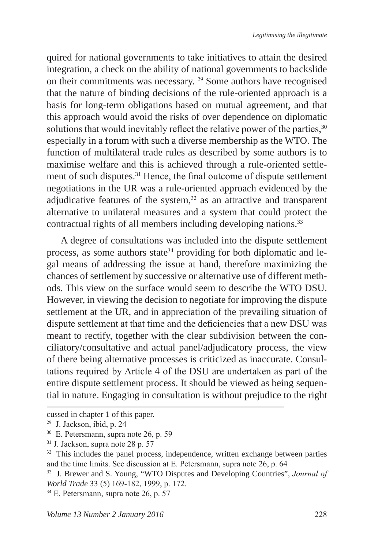quired for national governments to take initiatives to attain the desired integration, a check on the ability of national governments to backslide on their commitments was necessary. <sup>29</sup> Some authors have recognised that the nature of binding decisions of the rule-oriented approach is a basis for long-term obligations based on mutual agreement, and that this approach would avoid the risks of over dependence on diplomatic solutions that would inevitably reflect the relative power of the parties, <sup>30</sup> especially in a forum with such a diverse membership as the WTO. The function of multilateral trade rules as described by some authors is to maximise welfare and this is achieved through a rule-oriented settlement of such disputes.31 Hence, the final outcome of dispute settlement negotiations in the UR was a rule-oriented approach evidenced by the adjudicative features of the system, $32$  as an attractive and transparent alternative to unilateral measures and a system that could protect the contractual rights of all members including developing nations.<sup>33</sup>

A degree of consultations was included into the dispute settlement process, as some authors state<sup>34</sup> providing for both diplomatic and legal means of addressing the issue at hand, therefore maximizing the chances of settlement by successive or alternative use of different methods. This view on the surface would seem to describe the WTO DSU. However, in viewing the decision to negotiate for improving the dispute settlement at the UR, and in appreciation of the prevailing situation of dispute settlement at that time and the deficiencies that a new DSU was meant to rectify, together with the clear subdivision between the conciliatory/consultative and actual panel/adjudicatory process, the view of there being alternative processes is criticized as inaccurate. Consultations required by Article 4 of the DSU are undertaken as part of the entire dispute settlement process. It should be viewed as being sequential in nature. Engaging in consultation is without prejudice to the right

cussed in chapter 1 of this paper.

<sup>29</sup> J. Jackson, ibid, p. 24

<sup>30</sup> E. Petersmann, supra note 26, p. 59

<sup>31</sup> J. Jackson, supra note 28 p. 57

<sup>&</sup>lt;sup>32</sup> This includes the panel process, independence, written exchange between parties and the time limits. See discussion at E. Petersmann, supra note 26, p. 64

<sup>33</sup> J. Brewer and S. Young, "WTO Disputes and Developing Countries", *Journal of World Trade* 33 (5) 169-182, 1999, p. 172.<br><sup>34</sup> E. Petersmann, supra note 26, p. 57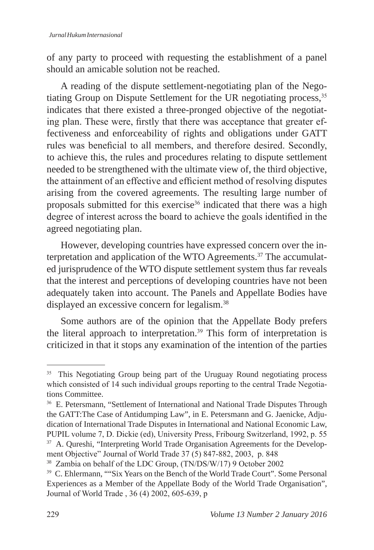of any party to proceed with requesting the establishment of a panel should an amicable solution not be reached.

A reading of the dispute settlement-negotiating plan of the Negotiating Group on Dispute Settlement for the UR negotiating process,<sup>35</sup> indicates that there existed a three-pronged objective of the negotiating plan. These were, firstly that there was acceptance that greater effectiveness and enforceability of rights and obligations under GATT rules was beneficial to all members, and therefore desired. Secondly, to achieve this, the rules and procedures relating to dispute settlement needed to be strengthened with the ultimate view of, the third objective, the attainment of an effective and efficient method of resolving disputes arising from the covered agreements. The resulting large number of proposals submitted for this exercise<sup>36</sup> indicated that there was a high degree of interest across the board to achieve the goals identified in the agreed negotiating plan.

However, developing countries have expressed concern over the interpretation and application of the WTO Agreements.37 The accumulated jurisprudence of the WTO dispute settlement system thus far reveals that the interest and perceptions of developing countries have not been adequately taken into account. The Panels and Appellate Bodies have displayed an excessive concern for legalism.<sup>38</sup>

Some authors are of the opinion that the Appellate Body prefers the literal approach to interpretation.<sup>39</sup> This form of interpretation is criticized in that it stops any examination of the intention of the parties

<sup>&</sup>lt;sup>35</sup> This Negotiating Group being part of the Uruguay Round negotiating process which consisted of 14 such individual groups reporting to the central Trade Negotiations Committee.

<sup>&</sup>lt;sup>36</sup> E. Petersmann, "Settlement of International and National Trade Disputes Through the GATT:The Case of Antidumping Law", in E. Petersmann and G. Jaenicke, Adjudication of International Trade Disputes in International and National Economic Law, PUPIL volume 7, D. Dickie (ed), University Press, Fribourg Switzerland, 1992, p. 55 <sup>37</sup> A. Qureshi, "Interpreting World Trade Organisation Agreements for the Development Objective" Journal of World Trade 37 (5) 847-882, 2003, p. 848

<sup>38</sup> Zambia on behalf of the LDC Group, (TN/DS/W/17) 9 October 2002

<sup>&</sup>lt;sup>39</sup> C. Ehlermann, ""Six Years on the Bench of the World Trade Court". Some Personal Experiences as a Member of the Appellate Body of the World Trade Organisation", Journal of World Trade , 36 (4) 2002, 605-639, p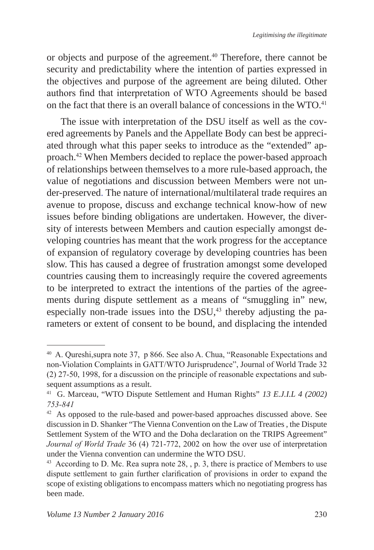or objects and purpose of the agreement.<sup>40</sup> Therefore, there cannot be security and predictability where the intention of parties expressed in the objectives and purpose of the agreement are being diluted. Other authors find that interpretation of WTO Agreements should be based on the fact that there is an overall balance of concessions in the WTO.<sup>41</sup>

The issue with interpretation of the DSU itself as well as the covered agreements by Panels and the Appellate Body can best be appreciated through what this paper seeks to introduce as the "extended" approach.<sup>42</sup> When Members decided to replace the power-based approach of relationships between themselves to a more rule-based approach, the value of negotiations and discussion between Members were not under-preserved. The nature of international/multilateral trade requires an avenue to propose, discuss and exchange technical know-how of new issues before binding obligations are undertaken. However, the diversity of interests between Members and caution especially amongst developing countries has meant that the work progress for the acceptance of expansion of regulatory coverage by developing countries has been slow. This has caused a degree of frustration amongst some developed countries causing them to increasingly require the covered agreements to be interpreted to extract the intentions of the parties of the agreements during dispute settlement as a means of "smuggling in" new, especially non-trade issues into the DSU, $43$  thereby adjusting the parameters or extent of consent to be bound, and displacing the intended

<sup>40</sup> A. Qureshi,supra note 37, p 866. See also A. Chua, "Reasonable Expectations and non-Violation Complaints in GATT/WTO Jurisprudence", Journal of World Trade 32 (2) 27-50, 1998, for a discussion on the principle of reasonable expectations and subsequent assumptions as a result.

<sup>41</sup> G. Marceau, "WTO Dispute Settlement and Human Rights" *13 E.J.I.L 4 (2002) 753-841*

<sup>&</sup>lt;sup>42</sup> As opposed to the rule-based and power-based approaches discussed above. See discussion in D. Shanker "The Vienna Convention on the Law of Treaties , the Dispute Settlement System of the WTO and the Doha declaration on the TRIPS Agreement" *Journal of World Trade* 36 (4) 721-772, 2002 on how the over use of interpretation under the Vienna convention can undermine the WTO DSU.

<sup>&</sup>lt;sup>43</sup> According to D. Mc. Rea supra note 28, , p. 3, there is practice of Members to use dispute settlement to gain further clarification of provisions in order to expand the scope of existing obligations to encompass matters which no negotiating progress has been made.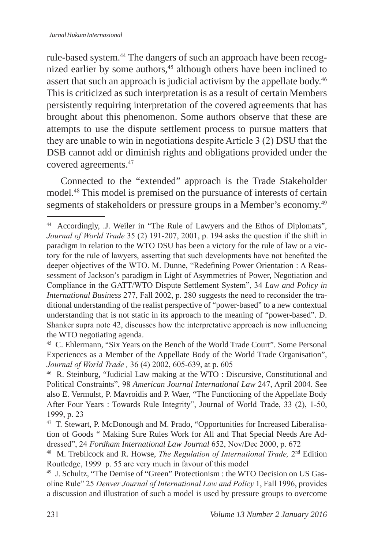rule-based system.<sup>44</sup> The dangers of such an approach have been recognized earlier by some authors,<sup>45</sup> although others have been inclined to assert that such an approach is judicial activism by the appellate body.<sup>46</sup> This is criticized as such interpretation is as a result of certain Members persistently requiring interpretation of the covered agreements that has brought about this phenomenon. Some authors observe that these are attempts to use the dispute settlement process to pursue matters that they are unable to win in negotiations despite Article 3 (2) DSU that the DSB cannot add or diminish rights and obligations provided under the covered agreements.<sup>47</sup>

Connected to the "extended" approach is the Trade Stakeholder model.<sup>48</sup> This model is premised on the pursuance of interests of certain segments of stakeholders or pressure groups in a Member's economy.<sup>49</sup>

<sup>45</sup> C. Ehlermann, "Six Years on the Bench of the World Trade Court". Some Personal Experiences as a Member of the Appellate Body of the World Trade Organisation", Journal of World Trade, 36 (4) 2002, 605-639, at p. 605

<sup>44</sup> Accordingly, .J. Weiler in "The Rule of Lawyers and the Ethos of Diplomats", *Journal of World Trade* 35 (2) 191-207, 2001, p. 194 asks the question if the shift in paradigm in relation to the WTO DSU has been a victory for the rule of law or a victory for the rule of lawyers, asserting that such developments have not benefited the deeper objectives of the WTO. M. Dunne, "Redefining Power Orientation : A Reassessment of Jackson's paradigm in Light of Asymmetries of Power, Negotiation and Compliance in the GATT/WTO Dispute Settlement System", 34 *Law and Policy in International Business* 277, Fall 2002, p. 280 suggests the need to reconsider the traditional understanding of the realist perspective of "power-based" to a new contextual understanding that is not static in its approach to the meaning of "power-based". D. Shanker supra note 42, discusses how the interpretative approach is now influencing the WTO negotiating agenda.

<sup>&</sup>lt;sup>46</sup> R. Steinburg, "Judicial Law making at the WTO : Discursive, Constitutional and Political Constraints", 98 *American Journal International Law* 247, April 2004. See also E. Vermulst, P. Mavroidis and P. Waer, "The Functioning of the Appellate Body After Four Years : Towards Rule Integrity", Journal of World Trade, 33 (2), 1-50, 1999, p. 23

<sup>47</sup> T. Stewart, P. McDonough and M. Prado, "Opportunities for Increased Liberalisation of Goods " Making Sure Rules Work for All and That Special Needs Are Addressed", 24 Fordham International Law Journal 652, Nov/Dec 2000, p. 672

<sup>&</sup>lt;sup>48</sup> M. Trebilcock and R. Howse, *The Regulation of International Trade*, 2<sup>nd</sup> Edition Routledge, 1999 p. 55 are very much in favour of this model

<sup>49</sup> J. Schultz, "The Demise of "Green" Protectionism : the WTO Decision on US Gasoline Rule" 25 *Denver Journal of International Law and Policy* 1, Fall 1996, provides a discussion and illustration of such a model is used by pressure groups to overcome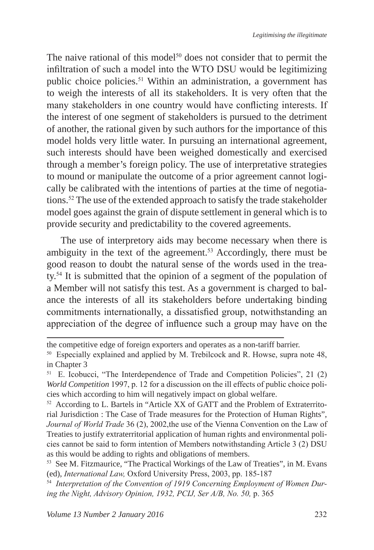The naive rational of this model<sup>50</sup> does not consider that to permit the infiltration of such a model into the WTO DSU would be legitimizing public choice policies.<sup>51</sup> Within an administration, a government has to weigh the interests of all its stakeholders. It is very often that the many stakeholders in one country would have conflicting interests. If the interest of one segment of stakeholders is pursued to the detriment of another, the rational given by such authors for the importance of this model holds very little water. In pursuing an international agreement, such interests should have been weighed domestically and exercised through a member's foreign policy. The use of interpretative strategies to mound or manipulate the outcome of a prior agreement cannot logically be calibrated with the intentions of parties at the time of negotiations.<sup>52</sup> The use of the extended approach to satisfy the trade stakeholder model goes against the grain of dispute settlement in general which is to provide security and predictability to the covered agreements.

The use of interpretory aids may become necessary when there is ambiguity in the text of the agreement.<sup>53</sup> Accordingly, there must be good reason to doubt the natural sense of the words used in the treaty.<sup>54</sup> It is submitted that the opinion of a segment of the population of a Member will not satisfy this test. As a government is charged to balance the interests of all its stakeholders before undertaking binding commitments internationally, a dissatisfied group, notwithstanding an appreciation of the degree of influence such a group may have on the

the competitive edge of foreign exporters and operates as a non-tariff barrier.

<sup>50</sup> Especially explained and applied by M. Trebilcock and R. Howse, supra note 48, in Chapter 3

<sup>51</sup> E. Icobucci, "The Interdependence of Trade and Competition Policies", 21 (2) *World Competition* 1997, p. 12 for a discussion on the ill effects of public choice policies which according to him will negatively impact on global welfare.

<sup>52</sup> According to L. Bartels in "Article XX of GATT and the Problem of Extraterritorial Jurisdiction : The Case of Trade measures for the Protection of Human Rights", *Journal of World Trade* 36 (2), 2002,the use of the Vienna Convention on the Law of Treaties to justify extraterritorial application of human rights and environmental policies cannot be said to form intention of Members notwithstanding Article 3 (2) DSU as this would be adding to rights and obligations of members.

<sup>53</sup> See M. Fitzmaurice, "The Practical Workings of the Law of Treaties", in M. Evans (ed), *International Law,* Oxford University Press, 2003, pp. 185-187

<sup>54</sup> *Interpretation of the Convention of 1919 Concerning Employment of Women During the Night, Advisory Opinion, 1932, PCIJ, Ser A/B, No. 50,* p. 365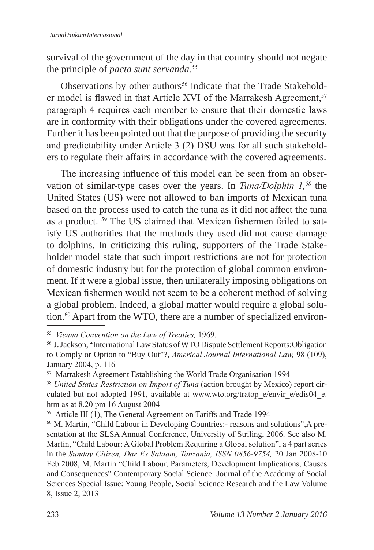survival of the government of the day in that country should not negate the principle of *pacta sunt servanda.<sup>55</sup>*

Observations by other authors<sup>56</sup> indicate that the Trade Stakeholder model is flawed in that Article XVI of the Marrakesh Agreement,<sup>57</sup> paragraph 4 requires each member to ensure that their domestic laws are in conformity with their obligations under the covered agreements. Further it has been pointed out that the purpose of providing the security and predictability under Article 3 (2) DSU was for all such stakeholders to regulate their affairs in accordance with the covered agreements.

The increasing influence of this model can be seen from an observation of similar-type cases over the years. In *Tuna/Dolphin 1,58* the United States (US) were not allowed to ban imports of Mexican tuna based on the process used to catch the tuna as it did not affect the tuna as a product. 59 The US claimed that Mexican fishermen failed to satisfy US authorities that the methods they used did not cause damage to dolphins. In criticizing this ruling, supporters of the Trade Stakeholder model state that such import restrictions are not for protection of domestic industry but for the protection of global common environment. If it were a global issue, then unilaterally imposing obligations on Mexican fishermen would not seem to be a coherent method of solving a global problem. Indeed, a global matter would require a global solution.<sup>60</sup> Apart from the WTO, there are a number of specialized environ-

<sup>55</sup> *Vienna Convention on the Law of Treaties,* 1969.

<sup>56</sup> J. Jackson, "International Law Status of WTO Dispute Settlement Reports:Obligation to Comply or Option to "Buy Out"?, *Americal Journal International Law,* 98 (109), January 2004, p. 116

<sup>&</sup>lt;sup>57</sup> Marrakesh Agreement Establishing the World Trade Organisation 1994

<sup>58</sup> *United States-Restriction on Import of Tuna* (action brought by Mexico) report circulated but not adopted 1991, available at www.wto.org/tratop\_e/envir\_e/edis04\_e. htm as at 8.20 pm 16 August 2004

<sup>&</sup>lt;sup>59</sup> Article III (1), The General Agreement on Tariffs and Trade 1994

<sup>60</sup> M. Martin, "Child Labour in Developing Countries:- reasons and solutions",A presentation at the SLSA Annual Conference, University of Striling, 2006. See also M. Martin, "Child Labour: A Global Problem Requiring a Global solution", a 4 part series in the *Sunday Citizen, Dar Es Salaam, Tanzania, ISSN 0856-9754,* 20 Jan 2008-10 Feb 2008, M. Martin "Child Labour, Parameters, Development Implications, Causes and Consequences" Contemporary Social Science: Journal of the Academy of Social Sciences Special Issue: Young People, Social Science Research and the Law Volume 8, Issue 2, 2013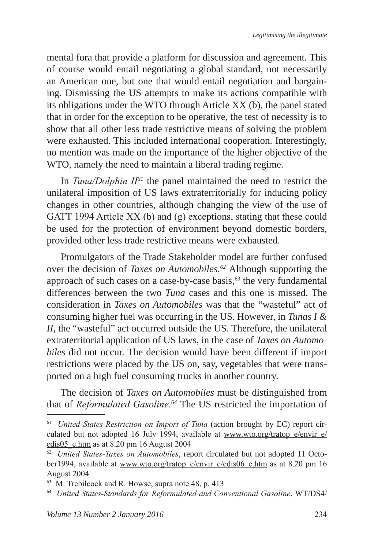mental fora that provide a platform for discussion and agreement. This of course would entail negotiating a global standard, not necessarily an American one, but one that would entail negotiation and bargaining. Dismissing the US attempts to make its actions compatible with its obligations under the WTO through Article XX (b), the panel stated that in order for the exception to be operative, the test of necessity is to show that all other less trade restrictive means of solving the problem were exhausted. This included international cooperation. Interestingly, no mention was made on the importance of the higher objective of the WTO, namely the need to maintain a liberal trading regime.

In *Tuna/Dolphin II<sup>61</sup>* the panel maintained the need to restrict the unilateral imposition of US laws extraterritorially for inducing policy changes in other countries, although changing the view of the use of GATT 1994 Article XX (b) and (g) exceptions, stating that these could be used for the protection of environment beyond domestic borders, provided other less trade restrictive means were exhausted.

Promulgators of the Trade Stakeholder model are further confused over the decision of *Taxes on Automobiles.62* Although supporting the approach of such cases on a case-by-case basis, $63$  the very fundamental differences between the two *Tuna* cases and this one is missed. The consideration in *Taxes on Automobiles* was that the "wasteful" act of consuming higher fuel was occurring in the US. However, in *Tunas I & II*, the "wasteful" act occurred outside the US. Therefore, the unilateral extraterritorial application of US laws, in the case of *Taxes on Automobiles* did not occur. The decision would have been different if import restrictions were placed by the US on, say, vegetables that were transported on a high fuel consuming trucks in another country.

The decision of *Taxes on Automobiles* must be distinguished from that of *Reformulated Gasoline.<sup>64</sup>* The US restricted the importation of

<sup>61</sup> *United States-Restriction on Import of Tuna* (action brought by EC) report circulated but not adopted 16 July 1994, available at  $\frac{www.wto.org/tratop e/envir_e}{}$ edis05\_e.htm as at 8.20 pm 16 August 2004

<sup>62</sup> *United States-Taxes on Automobiles*, report circulated but not adopted 11 October1994, available at www.wto.org/tratop\_e/envir\_e/edis06\_e.htm as at 8.20 pm 16 August 2004

<sup>63</sup> M. Trebilcock and R. Howse, supra note 48, p. 413

<sup>64</sup> *United States-Standards for Reformulated and Conventional Gasoline*, WT/DS4/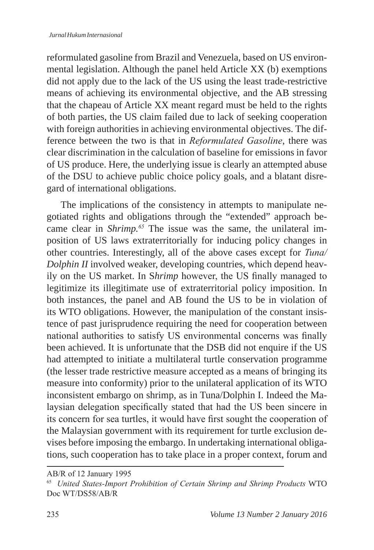reformulated gasoline from Brazil and Venezuela, based on US environmental legislation. Although the panel held Article XX (b) exemptions did not apply due to the lack of the US using the least trade-restrictive means of achieving its environmental objective, and the AB stressing that the chapeau of Article XX meant regard must be held to the rights of both parties, the US claim failed due to lack of seeking cooperation with foreign authorities in achieving environmental objectives. The difference between the two is that in *Reformulated Gasoline*, there was clear discrimination in the calculation of baseline for emissions in favor of US produce. Here, the underlying issue is clearly an attempted abuse of the DSU to achieve public choice policy goals, and a blatant disregard of international obligations.

The implications of the consistency in attempts to manipulate negotiated rights and obligations through the "extended" approach became clear in *Shrimp.<sup>65</sup>* The issue was the same, the unilateral imposition of US laws extraterritorially for inducing policy changes in other countries. Interestingly, all of the above cases except for *Tuna/ Dolphin II* involved weaker, developing countries, which depend heavily on the US market. In S*hrimp* however, the US finally managed to legitimize its illegitimate use of extraterritorial policy imposition. In both instances, the panel and AB found the US to be in violation of its WTO obligations. However, the manipulation of the constant insistence of past jurisprudence requiring the need for cooperation between national authorities to satisfy US environmental concerns was finally been achieved. It is unfortunate that the DSB did not enquire if the US had attempted to initiate a multilateral turtle conservation programme (the lesser trade restrictive measure accepted as a means of bringing its measure into conformity) prior to the unilateral application of its WTO inconsistent embargo on shrimp, as in Tuna/Dolphin I. Indeed the Malaysian delegation specifically stated that had the US been sincere in its concern for sea turtles, it would have first sought the cooperation of the Malaysian government with its requirement for turtle exclusion devises before imposing the embargo. In undertaking international obligations, such cooperation has to take place in a proper context, forum and

AB/R of 12 January 1995

<sup>65</sup> *United States-Import Prohibition of Certain Shrimp and Shrimp Products* WTO Doc WT/DS58/AB/R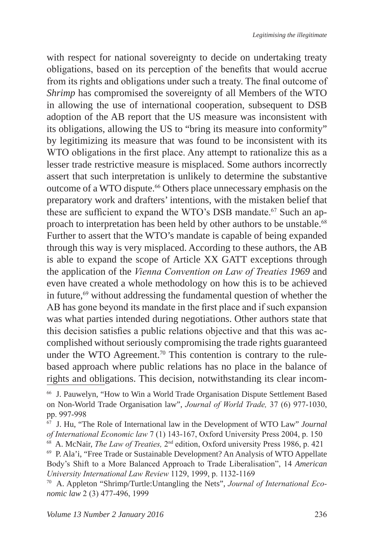with respect for national sovereignty to decide on undertaking treaty obligations, based on its perception of the benefits that would accrue from its rights and obligations under such a treaty. The final outcome of *Shrimp* has compromised the sovereignty of all Members of the WTO in allowing the use of international cooperation, subsequent to DSB adoption of the AB report that the US measure was inconsistent with its obligations, allowing the US to "bring its measure into conformity" by legitimizing its measure that was found to be inconsistent with its WTO obligations in the first place. Any attempt to rationalize this as a lesser trade restrictive measure is misplaced. Some authors incorrectly assert that such interpretation is unlikely to determine the substantive outcome of a WTO dispute.<sup>66</sup> Others place unnecessary emphasis on the preparatory work and drafters' intentions, with the mistaken belief that these are sufficient to expand the WTO's DSB mandate.<sup>67</sup> Such an approach to interpretation has been held by other authors to be unstable.<sup>68</sup> Further to assert that the WTO's mandate is capable of being expanded through this way is very misplaced. According to these authors, the AB is able to expand the scope of Article XX GATT exceptions through the application of the *Vienna Convention on Law of Treaties 1969* and even have created a whole methodology on how this is to be achieved in future,<sup>69</sup> without addressing the fundamental question of whether the AB has gone beyond its mandate in the first place and if such expansion was what parties intended during negotiations. Other authors state that this decision satisfies a public relations objective and that this was accomplished without seriously compromising the trade rights guaranteed under the WTO Agreement.<sup>70</sup> This contention is contrary to the rulebased approach where public relations has no place in the balance of rights and obligations. This decision, notwithstanding its clear incom-

<sup>66</sup> J. Pauwelyn, "How to Win a World Trade Organisation Dispute Settlement Based on Non-World Trade Organisation law", *Journal of World Trade,* 37 (6) 977-1030, pp. 997-998

<sup>67</sup> J. Hu, "The Role of International law in the Development of WTO Law" *Journal* 

<sup>&</sup>lt;sup>68</sup> A. McNair, *The Law of Treaties*, 2<sup>nd</sup> edition, Oxford university Press 1986, p. 421

<sup>69</sup> P. Ala'i, "Free Trade or Sustainable Development? An Analysis of WTO Appellate Body's Shift to a More Balanced Approach to Trade Liberalisation", 14 *American University International Law Review* 1129, 1999, p. 1132-1169

<sup>70</sup> A. Appleton "Shrimp/Turtle:Untangling the Nets", *Journal of International Economic law* 2 (3) 477-496, 1999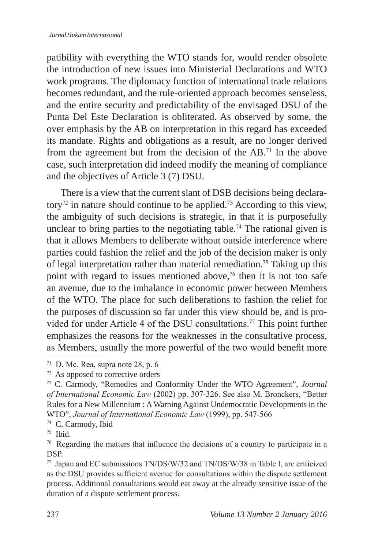patibility with everything the WTO stands for, would render obsolete the introduction of new issues into Ministerial Declarations and WTO work programs. The diplomacy function of international trade relations becomes redundant, and the rule-oriented approach becomes senseless, and the entire security and predictability of the envisaged DSU of the Punta Del Este Declaration is obliterated. As observed by some, the over emphasis by the AB on interpretation in this regard has exceeded its mandate. Rights and obligations as a result, are no longer derived from the agreement but from the decision of the AB.71 In the above case, such interpretation did indeed modify the meaning of compliance and the objectives of Article 3 (7) DSU.

There is a view that the current slant of DSB decisions being declaratory<sup>72</sup> in nature should continue to be applied.<sup>73</sup> According to this view, the ambiguity of such decisions is strategic, in that it is purposefully unclear to bring parties to the negotiating table.<sup>74</sup> The rational given is that it allows Members to deliberate without outside interference where parties could fashion the relief and the job of the decision maker is only of legal interpretation rather than material remediation.<sup>75</sup> Taking up this point with regard to issues mentioned above,<sup> $76$ </sup> then it is not too safe an avenue, due to the imbalance in economic power between Members of the WTO. The place for such deliberations to fashion the relief for the purposes of discussion so far under this view should be, and is provided for under Article 4 of the DSU consultations.77 This point further emphasizes the reasons for the weaknesses in the consultative process, as Members, usually the more powerful of the two would benefit more

<sup>74</sup> C. Carmody, Ibid

 $71$  D. Mc. Rea, supra note 28, p. 6

<sup>72</sup> As opposed to corrective orders

<sup>73</sup> C. Carmody, "Remedies and Conformity Under the WTO Agreement", *Journal of International Economic Law* (2002) pp. 307-326. See also M. Bronckers, "Better Rules for a New Millennium : A Warning Against Undemocratic Developments in the WTO", *Journal of International Economic Law* (1999), pp. 547-566

<sup>75</sup> Ibid.

<sup>&</sup>lt;sup>76</sup> Regarding the matters that influence the decisions of a country to participate in a DSP.

<sup>77</sup> Japan and EC submissions TN/DS/W/32 and TN/DS/W/38 in Table I, are criticized as the DSU provides sufficient avenue for consultations within the dispute settlement process. Additional consultations would eat away at the already sensitive issue of the duration of a dispute settlement process.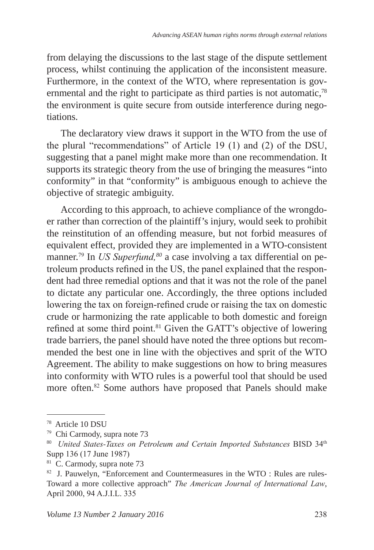from delaying the discussions to the last stage of the dispute settlement process, whilst continuing the application of the inconsistent measure. Furthermore, in the context of the WTO, where representation is governmental and the right to participate as third parties is not automatic,<sup>78</sup> the environment is quite secure from outside interference during negotiations.

The declaratory view draws it support in the WTO from the use of the plural "recommendations" of Article 19 (1) and (2) of the DSU, suggesting that a panel might make more than one recommendation. It supports its strategic theory from the use of bringing the measures "into conformity" in that "conformity" is ambiguous enough to achieve the objective of strategic ambiguity.

According to this approach, to achieve compliance of the wrongdoer rather than correction of the plaintiff's injury, would seek to prohibit the reinstitution of an offending measure, but not forbid measures of equivalent effect, provided they are implemented in a WTO-consistent manner.<sup>79</sup> In *US Superfund*,<sup>80</sup> a case involving a tax differential on petroleum products refined in the US, the panel explained that the respondent had three remedial options and that it was not the role of the panel to dictate any particular one. Accordingly, the three options included lowering the tax on foreign-refined crude or raising the tax on domestic crude or harmonizing the rate applicable to both domestic and foreign refined at some third point.81 Given the GATT's objective of lowering trade barriers, the panel should have noted the three options but recommended the best one in line with the objectives and sprit of the WTO Agreement. The ability to make suggestions on how to bring measures into conformity with WTO rules is a powerful tool that should be used more often.<sup>82</sup> Some authors have proposed that Panels should make

<sup>78</sup> Article 10 DSU

<sup>79</sup> Chi Carmody, supra note 73

<sup>80</sup> *United States-Taxes on Petroleum and Certain Imported Substances* BISD 34th Supp 136 (17 June 1987)

<sup>81</sup> C. Carmody, supra note 73

<sup>82</sup> J. Pauwelyn, "Enforcement and Countermeasures in the WTO : Rules are rules-Toward a more collective approach" *The American Journal of International Law*, April 2000, 94 A.J.I.L. 335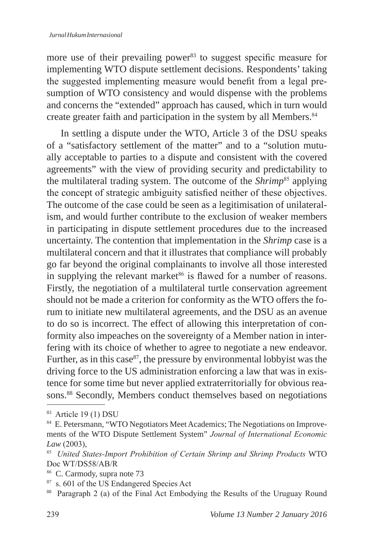more use of their prevailing power $83$  to suggest specific measure for implementing WTO dispute settlement decisions. Respondents' taking the suggested implementing measure would benefit from a legal presumption of WTO consistency and would dispense with the problems and concerns the "extended" approach has caused, which in turn would create greater faith and participation in the system by all Members.<sup>84</sup>

In settling a dispute under the WTO, Article 3 of the DSU speaks of a "satisfactory settlement of the matter" and to a "solution mutually acceptable to parties to a dispute and consistent with the covered agreements" with the view of providing security and predictability to the multilateral trading system. The outcome of the *Shrimp*<sup>85</sup> applying the concept of strategic ambiguity satisfied neither of these objectives. The outcome of the case could be seen as a legitimisation of unilateralism, and would further contribute to the exclusion of weaker members in participating in dispute settlement procedures due to the increased uncertainty. The contention that implementation in the *Shrimp* case is a multilateral concern and that it illustrates that compliance will probably go far beyond the original complainants to involve all those interested in supplying the relevant market<sup>86</sup> is flawed for a number of reasons. Firstly, the negotiation of a multilateral turtle conservation agreement should not be made a criterion for conformity as the WTO offers the forum to initiate new multilateral agreements, and the DSU as an avenue to do so is incorrect. The effect of allowing this interpretation of conformity also impeaches on the sovereignty of a Member nation in interfering with its choice of whether to agree to negotiate a new endeavor. Further, as in this case  $87$ , the pressure by environmental lobbyist was the driving force to the US administration enforcing a law that was in existence for some time but never applied extraterritorially for obvious reasons.<sup>88</sup> Secondly, Members conduct themselves based on negotiations

<sup>83</sup> Article 19 (1) DSU

<sup>&</sup>lt;sup>84</sup> E. Petersmann, "WTO Negotiators Meet Academics; The Negotiations on Improvements of the WTO Dispute Settlement System" *Journal of International Economic Law* (2003),<br><sup>85</sup> *United States-Import Prohibition of Certain Shrimp and Shrimp Products* WTO

Doc WT/DS58/AB/R

<sup>86</sup> C. Carmody, supra note 73

<sup>87</sup> s. 601 of the US Endangered Species Act

<sup>88</sup> Paragraph 2 (a) of the Final Act Embodying the Results of the Uruguay Round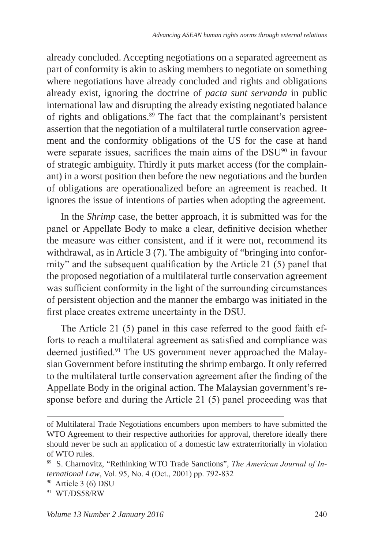already concluded. Accepting negotiations on a separated agreement as part of conformity is akin to asking members to negotiate on something where negotiations have already concluded and rights and obligations already exist, ignoring the doctrine of *pacta sunt servanda* in public international law and disrupting the already existing negotiated balance of rights and obligations.<sup>89</sup> The fact that the complainant's persistent assertion that the negotiation of a multilateral turtle conservation agreement and the conformity obligations of the US for the case at hand were separate issues, sacrifices the main aims of the DSU<sup>90</sup> in favour of strategic ambiguity. Thirdly it puts market access (for the complainant) in a worst position then before the new negotiations and the burden of obligations are operationalized before an agreement is reached. It ignores the issue of intentions of parties when adopting the agreement.

In the *Shrimp* case, the better approach, it is submitted was for the panel or Appellate Body to make a clear, definitive decision whether the measure was either consistent, and if it were not, recommend its withdrawal, as in Article 3 (7). The ambiguity of "bringing into conformity" and the subsequent qualification by the Article 21 (5) panel that the proposed negotiation of a multilateral turtle conservation agreement was sufficient conformity in the light of the surrounding circumstances of persistent objection and the manner the embargo was initiated in the first place creates extreme uncertainty in the DSU.

The Article 21 (5) panel in this case referred to the good faith efforts to reach a multilateral agreement as satisfied and compliance was deemed justified.91 The US government never approached the Malaysian Government before instituting the shrimp embargo. It only referred to the multilateral turtle conservation agreement after the finding of the Appellate Body in the original action. The Malaysian government's response before and during the Article 21 (5) panel proceeding was that

of Multilateral Trade Negotiations encumbers upon members to have submitted the WTO Agreement to their respective authorities for approval, therefore ideally there should never be such an application of a domestic law extraterritorially in violation of WTO rules.

<sup>89</sup> S. Charnovitz, "Rethinking WTO Trade Sanctions", *The American Journal of International Law*, Vol. 95, No. 4 (Oct., 2001) pp. 792-832

<sup>90</sup> Article 3 (6) DSU

<sup>91</sup> WT/DS58/RW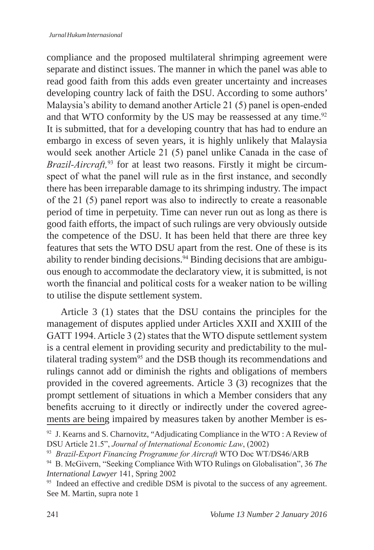compliance and the proposed multilateral shrimping agreement were separate and distinct issues. The manner in which the panel was able to read good faith from this adds even greater uncertainty and increases developing country lack of faith the DSU. According to some authors' Malaysia's ability to demand another Article 21 (5) panel is open-ended and that WTO conformity by the US may be reassessed at any time.<sup>92</sup> It is submitted, that for a developing country that has had to endure an embargo in excess of seven years, it is highly unlikely that Malaysia would seek another Article 21 (5) panel unlike Canada in the case of *Brazil-Aircraft,*93 for at least two reasons. Firstly it might be circumspect of what the panel will rule as in the first instance, and secondly there has been irreparable damage to its shrimping industry. The impact of the 21 (5) panel report was also to indirectly to create a reasonable period of time in perpetuity. Time can never run out as long as there is good faith efforts, the impact of such rulings are very obviously outside the competence of the DSU. It has been held that there are three key features that sets the WTO DSU apart from the rest. One of these is its ability to render binding decisions.  $94$  Binding decisions that are ambiguous enough to accommodate the declaratory view, it is submitted, is not worth the financial and political costs for a weaker nation to be willing to utilise the dispute settlement system.

Article 3 (1) states that the DSU contains the principles for the management of disputes applied under Articles XXII and XXIII of the GATT 1994. Article 3 (2) states that the WTO dispute settlement system is a central element in providing security and predictability to the multilateral trading system<sup>95</sup> and the DSB though its recommendations and rulings cannot add or diminish the rights and obligations of members provided in the covered agreements. Article 3 (3) recognizes that the prompt settlement of situations in which a Member considers that any benefits accruing to it directly or indirectly under the covered agreements are being impaired by measures taken by another Member is es-

 $92$  J. Kearns and S. Charnovitz, "Adjudicating Compliance in the WTO : A Review of DSU Article 21.5", *Journal of International Economic Law*, (2002)

<sup>93</sup> *Brazil-Export Financing Programme for Aircraft* WTO Doc WT/DS46/ARB

<sup>94</sup> B. McGivern, "Seeking Compliance With WTO Rulings on Globalisation", 36 *The International Lawyer* 141, Spring 2002

<sup>&</sup>lt;sup>95</sup> Indeed an effective and credible DSM is pivotal to the success of any agreement. See M. Martin, supra note 1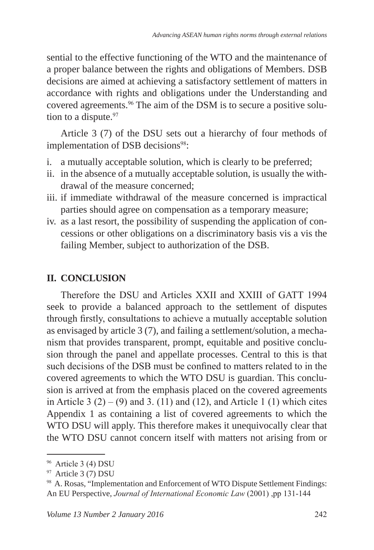sential to the effective functioning of the WTO and the maintenance of a proper balance between the rights and obligations of Members. DSB decisions are aimed at achieving a satisfactory settlement of matters in accordance with rights and obligations under the Understanding and covered agreements.96 The aim of the DSM is to secure a positive solution to a dispute.<sup>97</sup>

Article 3 (7) of the DSU sets out a hierarchy of four methods of implementation of DSB decisions<sup>98</sup>:

- i. a mutually acceptable solution, which is clearly to be preferred;
- ii. in the absence of a mutually acceptable solution, is usually the withdrawal of the measure concerned;
- iii. if immediate withdrawal of the measure concerned is impractical parties should agree on compensation as a temporary measure;
- iv. as a last resort, the possibility of suspending the application of concessions or other obligations on a discriminatory basis vis a vis the failing Member, subject to authorization of the DSB.

# **II. CONCLUSION**

Therefore the DSU and Articles XXII and XXIII of GATT 1994 seek to provide a balanced approach to the settlement of disputes through firstly, consultations to achieve a mutually acceptable solution as envisaged by article 3 (7), and failing a settlement/solution, a mechanism that provides transparent, prompt, equitable and positive conclusion through the panel and appellate processes. Central to this is that such decisions of the DSB must be confined to matters related to in the covered agreements to which the WTO DSU is guardian. This conclusion is arrived at from the emphasis placed on the covered agreements in Article 3  $(2) - (9)$  and 3. (11) and (12), and Article 1 (1) which cites Appendix 1 as containing a list of covered agreements to which the WTO DSU will apply. This therefore makes it unequivocally clear that the WTO DSU cannot concern itself with matters not arising from or

<sup>96</sup> Article 3 (4) DSU

<sup>97</sup> Article 3 (7) DSU

<sup>98</sup> A. Rosas, "Implementation and Enforcement of WTO Dispute Settlement Findings: An EU Perspective, *Journal of International Economic Law* (2001) ,pp 131-144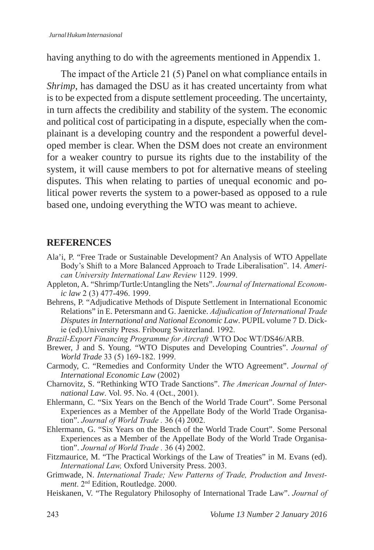having anything to do with the agreements mentioned in Appendix 1.

The impact of the Article 21 (5) Panel on what compliance entails in *Shrimp*, has damaged the DSU as it has created uncertainty from what is to be expected from a dispute settlement proceeding. The uncertainty, in turn affects the credibility and stability of the system. The economic and political cost of participating in a dispute, especially when the complainant is a developing country and the respondent a powerful developed member is clear. When the DSM does not create an environment for a weaker country to pursue its rights due to the instability of the system, it will cause members to pot for alternative means of steeling disputes. This when relating to parties of unequal economic and political power reverts the system to a power-based as opposed to a rule based one, undoing everything the WTO was meant to achieve.

## **REFERENCES**

- Ala'i, P. "Free Trade or Sustainable Development? An Analysis of WTO Appellate Body's Shift to a More Balanced Approach to Trade Liberalisation". 14. *American University International Law Review* 1129. 1999.
- Appleton, A. "Shrimp/Turtle:Untangling the Nets". *Journal of International Economic law* 2 (3) 477-496. 1999.
- Behrens, P. "Adjudicative Methods of Dispute Settlement in International Economic Relations" in E. Petersmann and G. Jaenicke. *Adjudication of International Trade Disputes in International and National Economic Law*. PUPIL volume 7 D. Dickie (ed).University Press. Fribourg Switzerland. 1992.
- *Brazil-Export Financing Programme for Aircraft .*WTO Doc WT/DS46/ARB.
- Brewer, J and S. Young. "WTO Disputes and Developing Countries". *Journal of World Trade* 33 (5) 169-182. 1999.
- Carmody, C. "Remedies and Conformity Under the WTO Agreement". *Journal of International Economic Law* (2002)
- Charnovitz, S. "Rethinking WTO Trade Sanctions". *The American Journal of International Law*. Vol. 95. No. 4 (Oct., 2001).
- Ehlermann, C. "Six Years on the Bench of the World Trade Court". Some Personal Experiences as a Member of the Appellate Body of the World Trade Organisation". *Journal of World Trade .* 36 (4) 2002.
- Ehlermann, G. "Six Years on the Bench of the World Trade Court". Some Personal Experiences as a Member of the Appellate Body of the World Trade Organisation". *Journal of World Trade .* 36 (4) 2002.
- Fitzmaurice, M. "The Practical Workings of the Law of Treaties" in M. Evans (ed). *International Law,* Oxford University Press. 2003.
- Grimwade, N. *International Trade; New Patterns of Trade, Production and Investment*. 2nd Edition, Routledge. 2000.
- Heiskanen, V. "The Regulatory Philosophy of International Trade Law". *Journal of*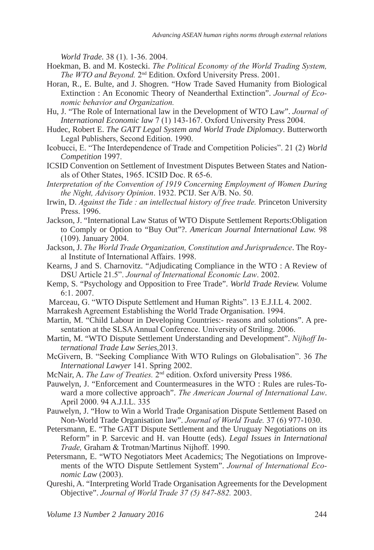*World Trade.* 38 (1). 1-36. 2004.

- Hoekman, B. and M. Kostecki. *The Political Economy of the World Trading System, The WTO and Beyond.* 2nd Edition. Oxford University Press. 2001.
- Horan, R., E. Bulte, and J. Shogren. "How Trade Saved Humanity from Biological Extinction : An Economic Theory of Neanderthal Extinction". *Journal of Economic behavior and Organization.*
- Hu, J. "The Role of International law in the Development of WTO Law". *Journal of International Economic law* 7 (1) 143-167. Oxford University Press 2004.
- Hudec, Robert E. *The GATT Legal System and World Trade Diplomacy*. Butterworth Legal Publishers, Second Edition. 1990.
- Icobucci, E. "The Interdependence of Trade and Competition Policies". 21 (2) *World Competition* 1997.
- ICSID Convention on Settlement of Investment Disputes Between States and Nationals of Other States, 1965. ICSID Doc. R 65-6.
- *Interpretation of the Convention of 1919 Concerning Employment of Women During the Night, Advisory Opinion*. 1932. PCIJ. Ser A/B. No. 50.
- Irwin, D. *Against the Tide : an intellectual history of free trade.* Princeton University Press. 1996.
- Jackson, J. "International Law Status of WTO Dispute Settlement Reports:Obligation to Comply or Option to "Buy Out"?. *American Journal International Law.* 98 (109). January 2004.
- Jackson, J. *The World Trade Organization, Constitution and Jurisprudence*. The Royal Institute of International Affairs. 1998.
- Kearns, J and S. Charnovitz. "Adjudicating Compliance in the WTO : A Review of DSU Article 21.5". *Journal of International Economic Law*. 2002.
- Kemp, S. "Psychology and Opposition to Free Trade". *World Trade Review.* Volume 6:1. 2007.
- Marceau, G. "WTO Dispute Settlement and Human Rights". 13 E.J.I.L 4*.* 2002.
- Marrakesh Agreement Establishing the World Trade Organisation. 1994.
- Martin, M. "Child Labour in Developing Countries:- reasons and solutions". A presentation at the SLSA Annual Conference. University of Striling. 2006.
- Martin, M. "WTO Dispute Settlement Understanding and Development". *Nijhoff International Trade Law Series.*2013.
- McGivern, B. "Seeking Compliance With WTO Rulings on Globalisation". 36 *The International Lawyer* 141. Spring 2002.
- McNair, A. *The Law of Treaties.* 2nd edition. Oxford university Press 1986.
- Pauwelyn, J. "Enforcement and Countermeasures in the WTO : Rules are rules-Toward a more collective approach". *The American Journal of International Law*. April 2000. 94 A.J.I.L. 335
- Pauwelyn, J. "How to Win a World Trade Organisation Dispute Settlement Based on Non-World Trade Organisation law". *Journal of World Trade.* 37 (6) 977-1030.
- Petersmann, E. "The GATT Dispute Settlement and the Uruguay Negotiations on its Reform" in P. Sarcevic and H. van Houtte (eds). *Legal Issues in International Trade,* Graham & Trotman/Martinus Nijhoff. 1990.
- Petersmann, E. "WTO Negotiators Meet Academics; The Negotiations on Improvements of the WTO Dispute Settlement System". *Journal of International Economic Law* (2003).
- Qureshi, A. "Interpreting World Trade Organisation Agreements for the Development Objective". *Journal of World Trade 37 (5) 847-882.* 2003.